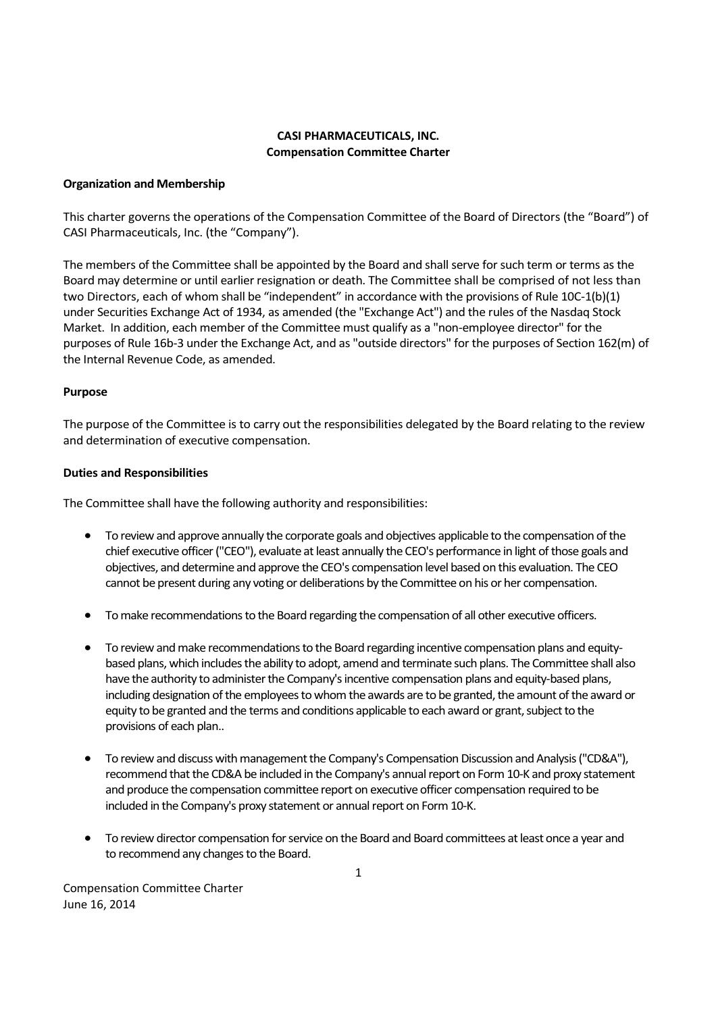# CASI PHARMACEUTICALS, INC. Compensation Committee Charter

## Organization and Membership

This charter governs the operations of the Compensation Committee of the Board of Directors (the "Board") of CASI Pharmaceuticals, Inc. (the "Company").

The members of the Committee shall be appointed by the Board and shall serve for such term or terms as the Board may determine or until earlier resignation or death. The Committee shall be comprised of not less than two Directors, each of whom shall be "independent" in accordance with the provisions of Rule 10C-1(b)(1) under Securities Exchange Act of 1934, as amended (the "Exchange Act") and the rules of the Nasdaq Stock Market. In addition, each member of the Committee must qualify as a "non-employee director" for the purposes of Rule 16b-3 under the Exchange Act, and as "outside directors" for the purposes of Section 162(m) of the Internal Revenue Code, as amended.

## Purpose

The purpose of the Committee is to carry out the responsibilities delegated by the Board relating to the review and determination of executive compensation.

## Duties and Responsibilities

The Committee shall have the following authority and responsibilities:

- To review and approve annually the corporate goals and objectives applicable to the compensation of the chief executive officer ("CEO"), evaluate at least annually the CEO's performance in light of those goals and objectives, and determine and approve the CEO's compensation level based on this evaluation. The CEO cannot be present during any voting or deliberations by the Committee on his or her compensation.
- To make recommendations to the Board regarding the compensation of all other executive officers.
- To review and make recommendations to the Board regarding incentive compensation plans and equitybased plans, which includes the ability to adopt, amend and terminate such plans. The Committee shall also have the authority to administer the Company's incentive compensation plans and equity-based plans, including designation of the employees to whom the awards are to be granted, the amount of the award or equity to be granted and the terms and conditions applicable to each award or grant, subject to the provisions of each plan..
- To review and discuss with management the Company's Compensation Discussion and Analysis ("CD&A"), recommend that the CD&A be included in the Company's annual report on Form 10-K and proxy statement and produce the compensation committee report on executive officer compensation required to be included in the Company's proxy statement or annual report on Form 10-K.
- To review director compensation for service on the Board and Board committees at least once a year and to recommend any changes to the Board.

Compensation Committee Charter June 16, 2014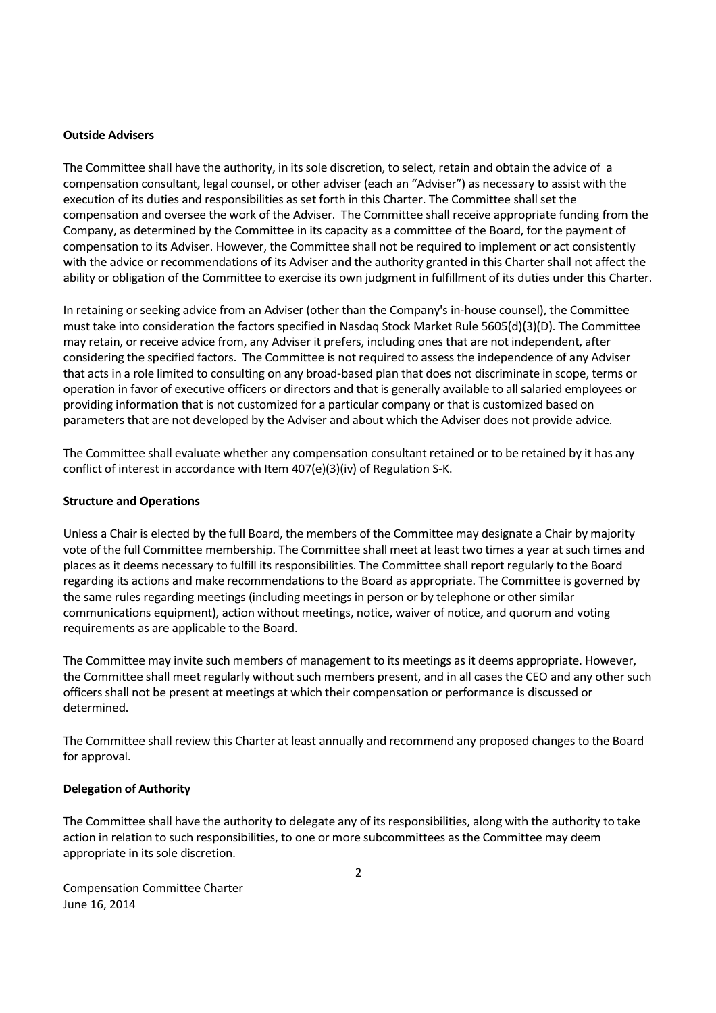#### Outside Advisers

The Committee shall have the authority, in its sole discretion, to select, retain and obtain the advice of a compensation consultant, legal counsel, or other adviser (each an "Adviser") as necessary to assist with the execution of its duties and responsibilities as set forth in this Charter. The Committee shall set the compensation and oversee the work of the Adviser. The Committee shall receive appropriate funding from the Company, as determined by the Committee in its capacity as a committee of the Board, for the payment of compensation to its Adviser. However, the Committee shall not be required to implement or act consistently with the advice or recommendations of its Adviser and the authority granted in this Charter shall not affect the ability or obligation of the Committee to exercise its own judgment in fulfillment of its duties under this Charter.

In retaining or seeking advice from an Adviser (other than the Company's in-house counsel), the Committee must take into consideration the factors specified in Nasdaq Stock Market Rule 5605(d)(3)(D). The Committee may retain, or receive advice from, any Adviser it prefers, including ones that are not independent, after considering the specified factors. The Committee is not required to assess the independence of any Adviser that acts in a role limited to consulting on any broad-based plan that does not discriminate in scope, terms or operation in favor of executive officers or directors and that is generally available to all salaried employees or providing information that is not customized for a particular company or that is customized based on parameters that are not developed by the Adviser and about which the Adviser does not provide advice.

The Committee shall evaluate whether any compensation consultant retained or to be retained by it has any conflict of interest in accordance with Item 407(e)(3)(iv) of Regulation S-K.

#### Structure and Operations

Unless a Chair is elected by the full Board, the members of the Committee may designate a Chair by majority vote of the full Committee membership. The Committee shall meet at least two times a year at such times and places as it deems necessary to fulfill its responsibilities. The Committee shall report regularly to the Board regarding its actions and make recommendations to the Board as appropriate. The Committee is governed by the same rules regarding meetings (including meetings in person or by telephone or other similar communications equipment), action without meetings, notice, waiver of notice, and quorum and voting requirements as are applicable to the Board.

The Committee may invite such members of management to its meetings as it deems appropriate. However, the Committee shall meet regularly without such members present, and in all cases the CEO and any other such officers shall not be present at meetings at which their compensation or performance is discussed or determined.

The Committee shall review this Charter at least annually and recommend any proposed changes to the Board for approval.

#### Delegation of Authority

The Committee shall have the authority to delegate any of its responsibilities, along with the authority to take action in relation to such responsibilities, to one or more subcommittees as the Committee may deem appropriate in its sole discretion.

Compensation Committee Charter June 16, 2014